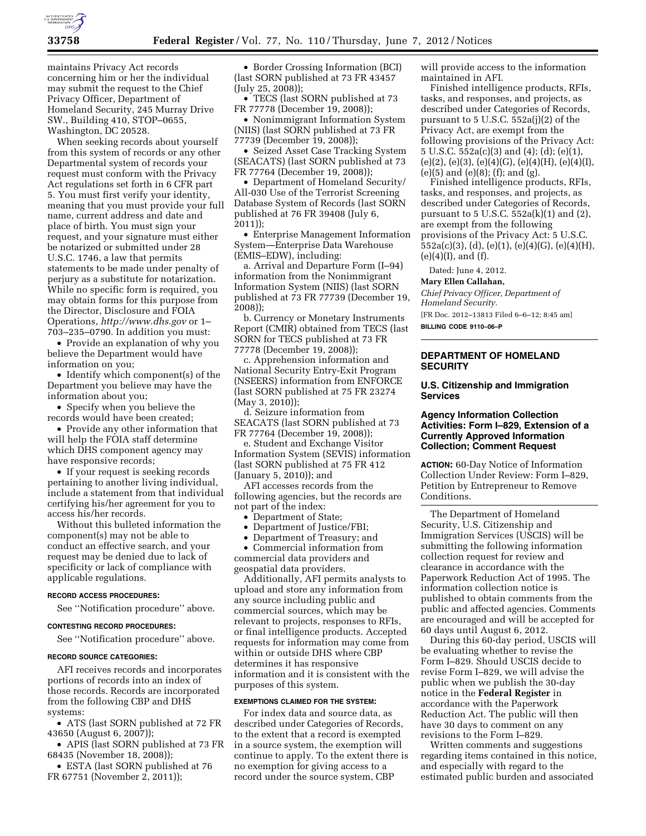

maintains Privacy Act records concerning him or her the individual may submit the request to the Chief Privacy Officer, Department of Homeland Security, 245 Murray Drive SW., Building 410, STOP–0655, Washington, DC 20528.

When seeking records about yourself from this system of records or any other Departmental system of records your request must conform with the Privacy Act regulations set forth in 6 CFR part 5. You must first verify your identity, meaning that you must provide your full name, current address and date and place of birth. You must sign your request, and your signature must either be notarized or submitted under 28 U.S.C. 1746, a law that permits statements to be made under penalty of perjury as a substitute for notarization. While no specific form is required, you may obtain forms for this purpose from the Director, Disclosure and FOIA Operations, *<http://www.dhs.gov>*or 1– 703–235–0790. In addition you must:

• Provide an explanation of why you believe the Department would have information on you;

• Identify which component(s) of the Department you believe may have the information about you;

• Specify when you believe the records would have been created;

• Provide any other information that will help the FOIA staff determine which DHS component agency may have responsive records;

• If your request is seeking records pertaining to another living individual, include a statement from that individual certifying his/her agreement for you to access his/her records.

Without this bulleted information the component(s) may not be able to conduct an effective search, and your request may be denied due to lack of specificity or lack of compliance with applicable regulations.

#### **RECORD ACCESS PROCEDURES:**

See ''Notification procedure'' above.

### **CONTESTING RECORD PROCEDURES:**

See ''Notification procedure'' above.

# **RECORD SOURCE CATEGORIES:**

AFI receives records and incorporates portions of records into an index of those records. Records are incorporated from the following CBP and DHS systems:

• ATS (last SORN published at 72 FR 43650 (August 6, 2007));

• APIS (last SORN published at 73 FR 68435 (November 18, 2008));

• ESTA (last SORN published at 76 FR 67751 (November 2, 2011));

• Border Crossing Information (BCI) (last SORN published at 73 FR 43457 (July 25, 2008));

• TECS (last SORN published at 73 FR 77778 (December 19, 2008));

• Nonimmigrant Information System (NIIS) (last SORN published at 73 FR 77739 (December 19, 2008));

• Seized Asset Case Tracking System (SEACATS) (last SORN published at 73 FR 77764 (December 19, 2008));

• Department of Homeland Security/ All-030 Use of the Terrorist Screening Database System of Records (last SORN published at 76 FR 39408 (July 6, 2011));

• Enterprise Management Information System—Enterprise Data Warehouse (EMIS–EDW), including:

a. Arrival and Departure Form (I–94) information from the Nonimmigrant Information System (NIIS) (last SORN published at 73 FR 77739 (December 19, 2008));

b. Currency or Monetary Instruments Report (CMIR) obtained from TECS (last SORN for TECS published at 73 FR 77778 (December 19, 2008));

c. Apprehension information and National Security Entry-Exit Program (NSEERS) information from ENFORCE (last SORN published at 75 FR 23274 (May 3, 2010));

d. Seizure information from SEACATS (last SORN published at 73 FR 77764 (December 19, 2008));

e. Student and Exchange Visitor Information System (SEVIS) information (last SORN published at 75 FR 412 (January 5, 2010)); and

AFI accesses records from the following agencies, but the records are not part of the index:

- Department of State;
- Department of Justice/FBI;

• Department of Treasury; and

• Commercial information from commercial data providers and geospatial data providers.

Additionally, AFI permits analysts to upload and store any information from any source including public and commercial sources, which may be relevant to projects, responses to RFIs, or final intelligence products. Accepted requests for information may come from within or outside DHS where CBP determines it has responsive information and it is consistent with the purposes of this system.

## **EXEMPTIONS CLAIMED FOR THE SYSTEM:**

For index data and source data, as described under Categories of Records, to the extent that a record is exempted in a source system, the exemption will continue to apply. To the extent there is no exemption for giving access to a record under the source system, CBP

will provide access to the information maintained in AFI.

Finished intelligence products, RFIs, tasks, and responses, and projects, as described under Categories of Records, pursuant to 5 U.S.C. 552a(j)(2) of the Privacy Act, are exempt from the following provisions of the Privacy Act: 5 U.S.C. 552a(c)(3) and (4); (d); (e)(1), (e)(2), (e)(3), (e)(4)(G), (e)(4)(H), (e)(4)(I), (e)(5) and (e)(8); (f); and (g).

Finished intelligence products, RFIs, tasks, and responses, and projects, as described under Categories of Records, pursuant to 5 U.S.C. 552a(k)(1) and (2), are exempt from the following provisions of the Privacy Act: 5 U.S.C. 552a(c)(3), (d), (e)(1), (e)(4)(G), (e)(4)(H),  $(e)(4)(I)$ , and  $(f)$ .

Dated: June 4, 2012.

### **Mary Ellen Callahan,**

*Chief Privacy Officer, Department of Homeland Security.* 

[FR Doc. 2012–13813 Filed 6–6–12; 8:45 am] **BILLING CODE 9110–06–P** 

# **DEPARTMENT OF HOMELAND SECURITY**

## **U.S. Citizenship and Immigration Services**

## **Agency Information Collection Activities: Form I–829, Extension of a Currently Approved Information Collection; Comment Request**

**ACTION:** 60-Day Notice of Information Collection Under Review: Form I–829, Petition by Entrepreneur to Remove Conditions.

The Department of Homeland Security, U.S. Citizenship and Immigration Services (USCIS) will be submitting the following information collection request for review and clearance in accordance with the Paperwork Reduction Act of 1995. The information collection notice is published to obtain comments from the public and affected agencies. Comments are encouraged and will be accepted for 60 days until August 6, 2012.

During this 60-day period, USCIS will be evaluating whether to revise the Form I–829. Should USCIS decide to revise Form I–829, we will advise the public when we publish the 30-day notice in the **Federal Register** in accordance with the Paperwork Reduction Act. The public will then have 30 days to comment on any revisions to the Form I–829.

Written comments and suggestions regarding items contained in this notice, and especially with regard to the estimated public burden and associated